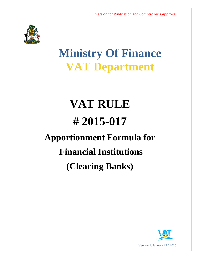

## **Ministry Of Finance VAT Department**

# **VAT RULE # 2015-017 Apportionment Formula for Financial Institutions (Clearing Banks)**

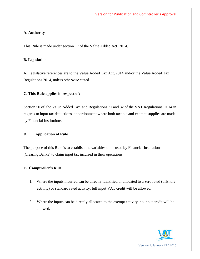#### **A. Authority**

This Rule is made under section 17 of the Value Added Act, 2014.

#### **B. Legislation**

All legislative references are to the Value Added Tax Act, 2014 and/or the Value Added Tax Regulations 2014, unless otherwise stated.

#### **C. This Rule applies in respect of:**

Section 50 of the Value Added Tax and Regulations 21 and 32 of the VAT Regulations, 2014 in regards to input tax deductions, apportionment where both taxable and exempt supplies are made by Financial Institutions.

#### **D. Application of Rule**

The purpose of this Rule is to establish the variables to be used by Financial Institutions (Clearing Banks) to claim input tax incurred in their operations.

#### **E. Comptroller's Rule**

- 1. Where the inputs incurred can be directly identified or allocated to a zero rated (offshore activity) or standard rated activity, full input VAT credit will be allowed*.*
- 2. Where the inputs can be directly allocated to the exempt activity, no input credit will be allowed*.*